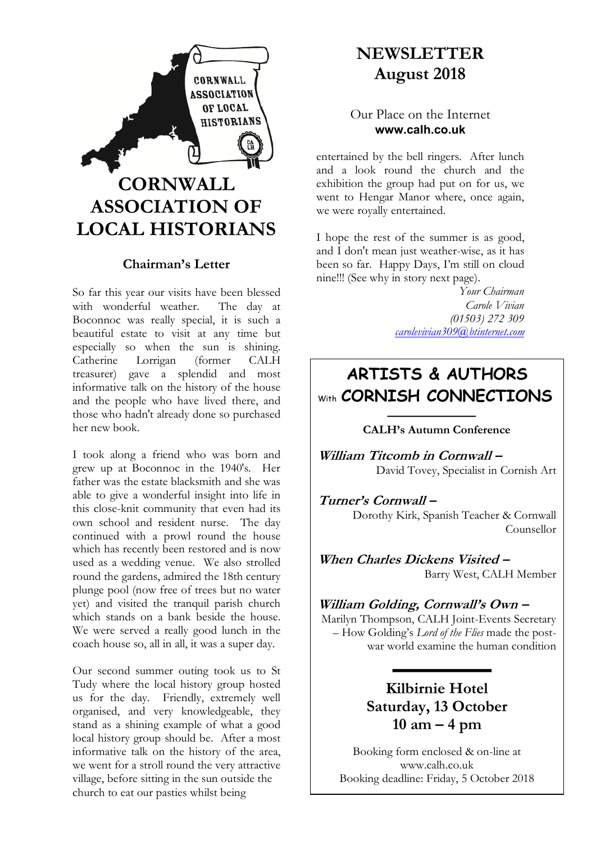

## **Chairman's Letter**

So far this year our visits have been blessed<br>with wonderful weather. The day at with wonderful weather. Boconnoc was really special, it is such a beautiful estate to visit at any time but especially so when the sun is shining. Catherine Lorrigan (former CALH treasurer) gave a splendid and most informative talk on the history of the house and the people who have lived there, and those who hadn't already done so purchased her new book.

I took along a friend who was born and grew up at Boconnoc in the 1940's. Her father was the estate blacksmith and she was able to give a wonderful insight into life in this close-knit community that even had its own school and resident nurse. The day continued with a prowl round the house which has recently been restored and is now used as a wedding venue. We also strolled round the gardens, admired the 18th century plunge pool (now free of trees but no water yet) and visited the tranquil parish church which stands on a bank beside the house. We were served a really good lunch in the coach house so, all in all, it was a super day.

Our second summer outing took us to St Tudy where the local history group hosted us for the day. Friendly, extremely well organised, and very knowledgeable, they stand as a shining example of what a good local history group should be. After a most informative talk on the history of the area, we went for a stroll round the very attractive village, before sitting in the sun outside the church to eat our pasties whilst being

# **NEWSLETTER August 2018**

## Our Place on the Internet **www.calh.co.uk**

entertained by the bell ringers. After lunch and a look round the church and the exhibition the group had put on for us, we went to Hengar Manor where, once again, we were royally entertained.

I hope the rest of the summer is as good, and I don't mean just weather-wise, as it has been so far. Happy Days, I'm still on cloud nine!!! (See why in story next page).

> *Your Chairman Carole Vivian (01503) 272 309 carolevivian309@btinternet.com*

# **ARTISTS & AUTHORS** With **CORNISH CONNECTIONS**

### **CALH's Autumn Conference**

**William Titcomb in Cornwall –** David Tovey, Specialist in Cornish Art

**Turner's Cornwall –** Dorothy Kirk, Spanish Teacher & Cornwall Counsellor

**When Charles Dickens Visited –** Barry West, CALH Member

**William Golding, Cornwall's Own –** Marilyn Thompson, CALH Joint-Events Secretary – How Golding's *Lord of the Flies* made the postwar world examine the human condition

# **Kilbirnie Hotel Saturday, 13 October 10 am – 4 pm**

Booking deadline: Friday, 5 October 2018 Booking form enclosed & on-line at www.calh.co.uk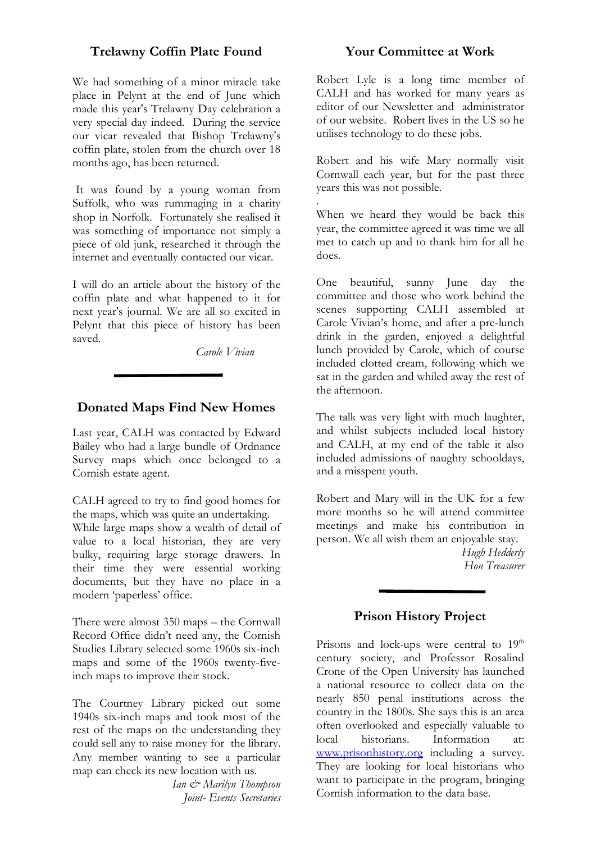### **Trelawny Coffin Plate Found**

We had something of a minor miracle take place in Pelynt at the end of June which made this year's Trelawny Day celebration a very special day indeed. During the service our vicar revealed that Bishop Trelawny's coffin plate, stolen from the church over 18 months ago, has been returned.

It was found by a young woman from Suffolk, who was rummaging in a charity shop in Norfolk. Fortunately she realised it was something of importance not simply a piece of old junk, researched it through the internet and eventually contacted our vicar.

I will do an article about the history of the coffin plate and what happened to it for next year's journal. We are all so excited in Pelynt that this piece of history has been saved.

 *Carole Vivian*

## **Donated Maps Find New Homes**

Last year, CALH was contacted by Edward Bailey who had a large bundle of Ordnance Survey maps which once belonged to a Cornish estate agent.

CALH agreed to try to find good homes for the maps, which was quite an undertaking.

While large maps show a wealth of detail of value to a local historian, they are very bulky, requiring large storage drawers. In their time they were essential working documents, but they have no place in a modern 'paperless' office.

There were almost 350 maps – the Cornwall Record Office didn't need any, the Cornish Studies Library selected some 1960s six-inch maps and some of the 1960s twenty-fiveinch maps to improve their stock.

The Courtney Library picked out some 1940s six-inch maps and took most of the rest of the maps on the understanding they could sell any to raise money for the library. Any member wanting to see a particular map can check its new location with us.

> *Ian & Marilyn Thompson Joint- Events Secretaries*

### **Your Committee at Work**

Robert Lyle is a long time member of CALH and has worked for many years as editor of our Newsletter and administrator of our website. Robert lives in the US so he utilises technology to do these jobs.

Robert and his wife Mary normally visit Cornwall each year, but for the past three years this was not possible.

. When we heard they would be back this year, the committee agreed it was time we all met to catch up and to thank him for all he does.

One beautiful, sunny June day the committee and those who work behind the scenes supporting CALH assembled at Carole Vivian's home, and after a pre-lunch drink in the garden, enjoyed a delightful lunch provided by Carole, which of course included clotted cream, following which we sat in the garden and whiled away the rest of the afternoon.

The talk was very light with much laughter, and whilst subjects included local history and CALH, at my end of the table it also included admissions of naughty schooldays, and a misspent youth.

Robert and Mary will in the UK for a few more months so he will attend committee meetings and make his contribution in person. We all wish them an enjoyable stay.

> *Hugh Hedderly Hon Treasurer*

### **Prison History Project**

Prisons and lock-ups were central to  $19<sup>th</sup>$ century society, and Professor Rosalind Crone of the Open University has launched a national resource to collect data on the nearly 850 penal institutions across the country in the 1800s. She says this is an area often overlooked and especially valuable to local historians. Information at: www.prisonhistory.org including a survey. They are looking for local historians who want to participate in the program, bringing Cornish information to the data base.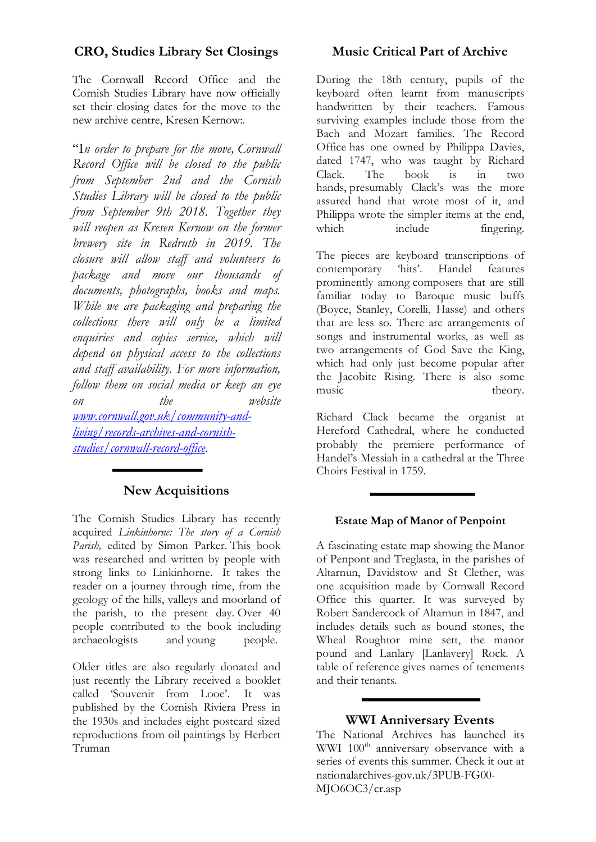## **CRO, Studies Library Set Closings**

The Cornwall Record Office and the Cornish Studies Library have now officially set their closing dates for the move to the new archive centre, Kresen Kernow:.

"I*n order to prepare for the move, Cornwall Record Office will be closed to the public from September 2nd and the Cornish Studies Library will be closed to the public from September 9th 2018. Together they will reopen as Kresen Kernow on the former brewery site in Redruth in 2019. The closure will allow staff and volunteers to package and move our thousands of documents, photographs, books and maps. While we are packaging and preparing the collections there will only be a limited enquiries and copies service, which will depend on physical access to the collections and staff availability. For more information, follow them on social media or keep an eye on the website www.cornwall.gov.uk/community-andliving/records-archives-and-cornishstudies/cornwall-record-office.*

# **New Acquisitions**

The Cornish Studies Library has recently acquired *Linkinhorne: The story of a Cornish Parish,* edited by Simon Parker. This book was researched and written by people with strong links to Linkinhorne. It takes the reader on a journey through time, from the geology of the hills, valleys and moorland of the parish, to the present day. Over 40 people contributed to the book including archaeologists and young people.

Older titles are also regularly donated and just recently the Library received a booklet called 'Souvenir from Looe'. It was published by the Cornish Riviera Press in the 1930s and includes eight postcard sized reproductions from oil paintings by Herbert Truman

## **Music Critical Part of Archive**

During the 18th century, pupils of the keyboard often learnt from manuscripts handwritten by their teachers. Famous surviving examples include those from the Bach and Mozart families. The Record Office has one owned by Philippa Davies, dated 1747, who was taught by Richard Clack. The book is in two hands, presumably Clack's was the more assured hand that wrote most of it, and Philippa wrote the simpler items at the end, which include fingering.

The pieces are keyboard transcriptions of contemporary hits'. Handel features contemporary 'hits'. Handel features prominently among composers that are still familiar today to Baroque music buffs (Boyce, Stanley, Corelli, Hasse) and others that are less so. There are arrangements of songs and instrumental works, as well as two arrangements of God Save the King, which had only just become popular after the Jacobite Rising. There is also some music theory.

Richard Clack became the organist at Hereford Cathedral, where he conducted probably the premiere performance of Handel's Messiah in a cathedral at the Three Choirs Festival in 1759.

### **Estate Map of Manor of Penpoint**

A fascinating estate map showing the Manor of Penpont and Treglasta, in the parishes of Altarnun, Davidstow and St Clether, was one acquisition made by Cornwall Record Office this quarter. It was surveyed by Robert Sandercock of Altarnun in 1847, and includes details such as bound stones, the Wheal Roughtor mine sett, the manor pound and Lanlary [Lanlavery] Rock. A table of reference gives names of tenements and their tenants.

### **WWI Anniversary Events**

The National Archives has launched its WWI 100<sup>th</sup> anniversary observance with a series of events this summer. Check it out at nationalarchives-gov.uk/3PUB-FG00- MJO6OC3/cr.asp